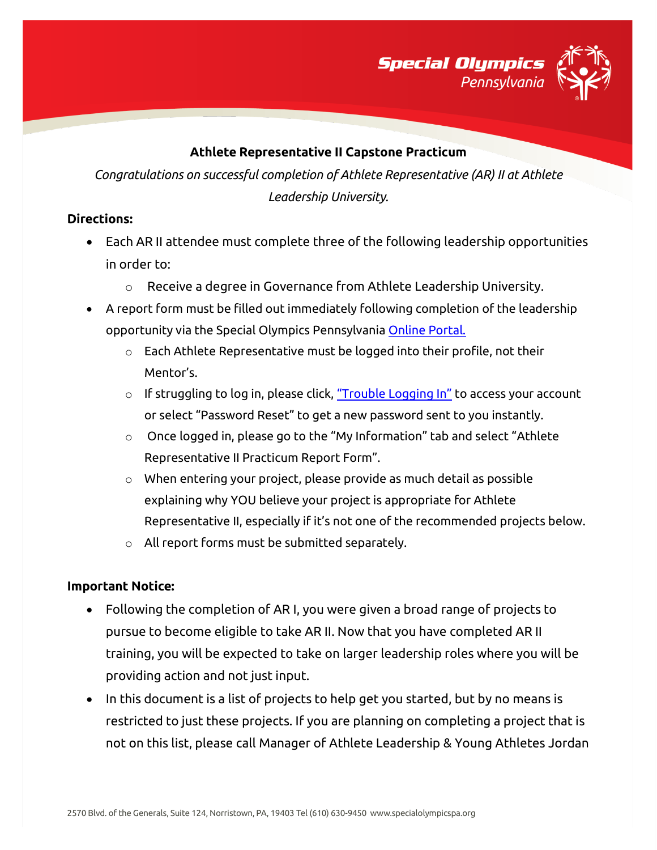

#### **Athlete Representative II Capstone Practicum**

*Congratulations on successful completion of Athlete Representative (AR) II at Athlete Leadership University.*

#### **Directions:**

- Each AR II attendee must complete three of the following leadership opportunities in order to:
	- o Receive a degree in Governance from Athlete Leadership University.
- A report form must be filled out immediately following completion of the leadership opportunity via the Special Olympics Pennsylvania [Online Portal.](https://vsys.specialolympicspa.org/) 
	- $\circ$  Each Athlete Representative must be logged into their profile, not their Mentor's.
	- $\circ$  If struggling to log in, please click, ["Trouble Logging In"](https://vsys.specialolympicspa.org/pages/sendmsg:7AY9IMBYO5QPMJ4F) to access your account or select "Password Reset" to get a new password sent to you instantly.
	- $\circ$  Once logged in, please go to the "My Information" tab and select "Athlete Representative II Practicum Report Form".
	- o When entering your project, please provide as much detail as possible explaining why YOU believe your project is appropriate for Athlete Representative II, especially if it's not one of the recommended projects below.
	- o All report forms must be submitted separately.

### **Important Notice:**

- Following the completion of AR I, you were given a broad range of projects to pursue to become eligible to take AR II. Now that you have completed AR II training, you will be expected to take on larger leadership roles where you will be providing action and not just input.
- In this document is a list of projects to help get you started, but by no means is restricted to just these projects. If you are planning on completing a project that is not on this list, please call Manager of Athlete Leadership & Young Athletes Jordan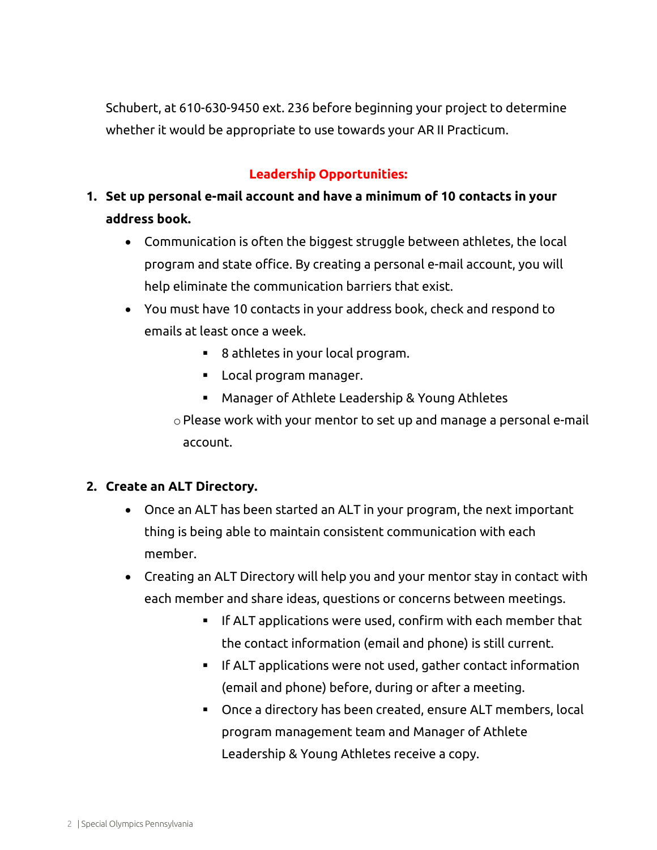Schubert, at 610-630-9450 ext. 236 before beginning your project to determine whether it would be appropriate to use towards your AR II Practicum.

## **Leadership Opportunities:**

# **1. Set up personal e-mail account and have a minimum of 10 contacts in your address book.**

- Communication is often the biggest struggle between athletes, the local program and state office. By creating a personal e-mail account, you will help eliminate the communication barriers that exist.
- You must have 10 contacts in your address book, check and respond to emails at least once a week.
	- 8 athletes in your local program.
	- **Local program manager.**
	- Manager of Athlete Leadership & Young Athletes

oPlease work with your mentor to set up and manage a personal e-mail account.

### **2. Create an ALT Directory.**

- Once an ALT has been started an ALT in your program, the next important thing is being able to maintain consistent communication with each member.
- Creating an ALT Directory will help you and your mentor stay in contact with each member and share ideas, questions or concerns between meetings.
	- If ALT applications were used, confirm with each member that the contact information (email and phone) is still current.
	- **IF ALT applications were not used, gather contact information** (email and phone) before, during or after a meeting.
	- Once a directory has been created, ensure ALT members, local program management team and Manager of Athlete Leadership & Young Athletes receive a copy.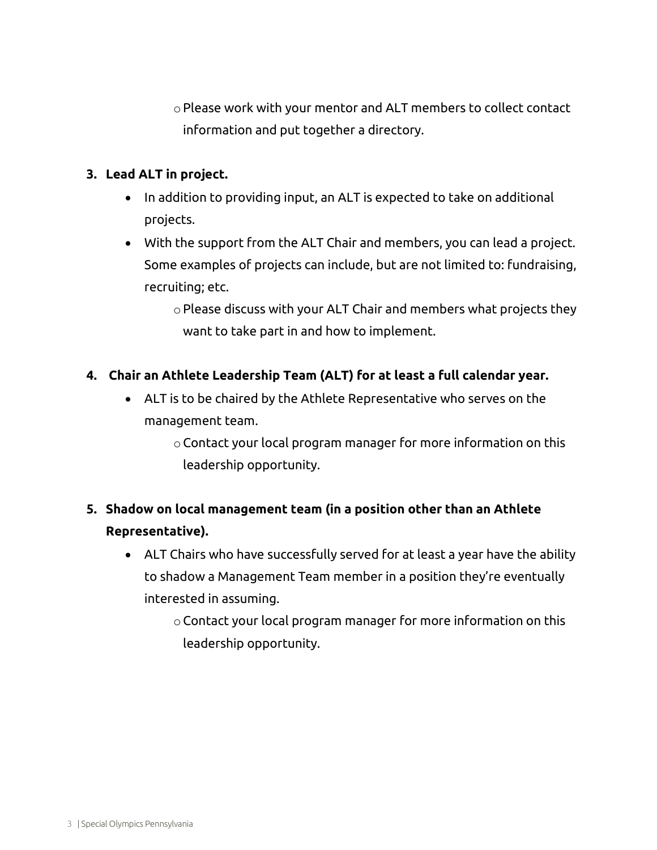oPlease work with your mentor and ALT members to collect contact information and put together a directory.

### **3. Lead ALT in project.**

- In addition to providing input, an ALT is expected to take on additional projects.
- With the support from the ALT Chair and members, you can lead a project. Some examples of projects can include, but are not limited to: fundraising, recruiting; etc.

oPlease discuss with your ALT Chair and members what projects they want to take part in and how to implement.

### **4. Chair an Athlete Leadership Team (ALT) for at least a full calendar year.**

- ALT is to be chaired by the Athlete Representative who serves on the management team.
	- oContact your local program manager for more information on this leadership opportunity.

# **5. Shadow on local management team (in a position other than an Athlete Representative).**

- ALT Chairs who have successfully served for at least a year have the ability to shadow a Management Team member in a position they're eventually interested in assuming.
	- oContact your local program manager for more information on this leadership opportunity.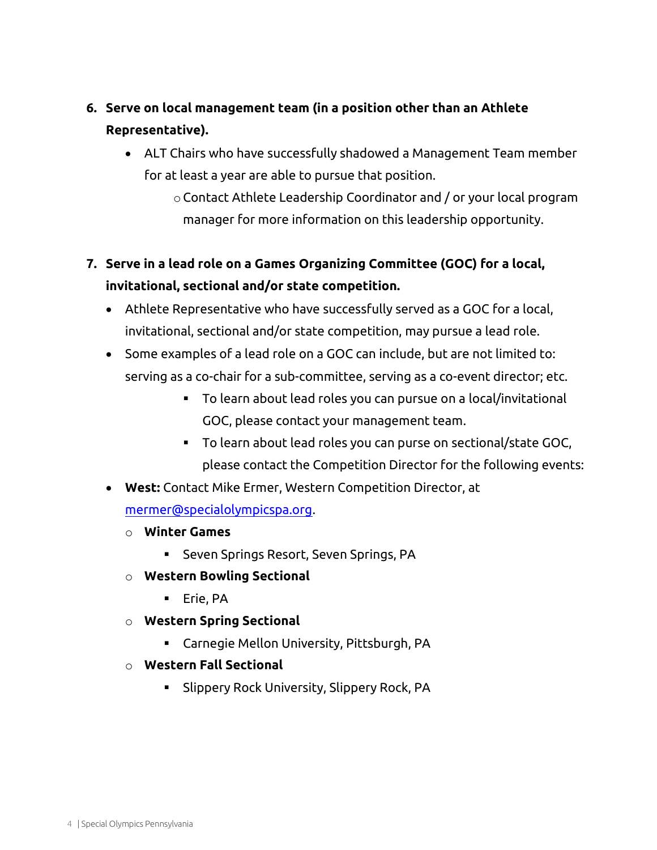# **6. Serve on local management team (in a position other than an Athlete Representative).**

- ALT Chairs who have successfully shadowed a Management Team member for at least a year are able to pursue that position.
	- oContact Athlete Leadership Coordinator and / or your local program manager for more information on this leadership opportunity.

# **7. Serve in a lead role on a Games Organizing Committee (GOC) for a local, invitational, sectional and/or state competition.**

- Athlete Representative who have successfully served as a GOC for a local, invitational, sectional and/or state competition, may pursue a lead role.
- Some examples of a lead role on a GOC can include, but are not limited to: serving as a co-chair for a sub-committee, serving as a co-event director; etc.
	- To learn about lead roles you can pursue on a local/invitational GOC, please contact your management team.
	- To learn about lead roles you can purse on sectional/state GOC, please contact the Competition Director for the following events:
- **West:** Contact Mike Ermer, Western Competition Director, at

[mermer@specialolympicspa.org.](mailto:mermer@specialolympicspa.org)

- o **Winter Games**
	- Seven Springs Resort, Seven Springs, PA
- o **Western Bowling Sectional**
	- **Erie, PA**
- o **Western Spring Sectional**
	- Carnegie Mellon University, Pittsburgh, PA
- o **Western Fall Sectional**
	- Slippery Rock University, Slippery Rock, PA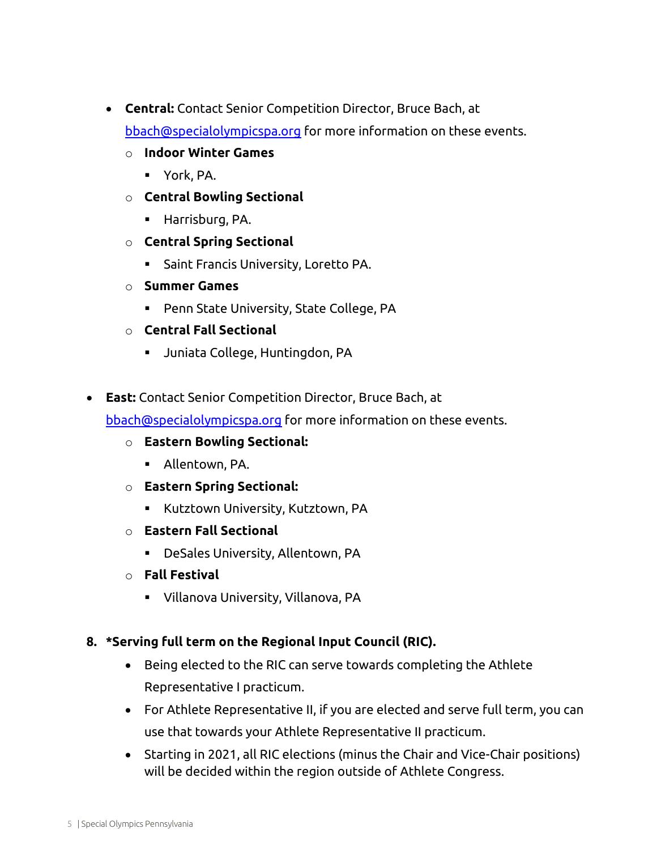- **Central:** Contact Senior Competition Director, Bruce Bach, at [bbach@specialolympicspa.org](mailto:bbach@specialolympicspa.org) for more information on these events.
	- o **Indoor Winter Games**
		- York, PA.
	- o **Central Bowling Sectional**
		- **Harrisburg, PA.**
	- o **Central Spring Sectional**
		- **Saint Francis University, Loretto PA.**
	- o **Summer Games**
		- Penn State University, State College, PA
	- o **Central Fall Sectional**
		- Juniata College, Huntingdon, PA
- **East:** Contact Senior Competition Director, Bruce Bach, at

[bbach@specialolympicspa.org](mailto:bbach@specialolympicspa.org) for more information on these events.

- o **Eastern Bowling Sectional:**
	- Allentown, PA.
- o **Eastern Spring Sectional:**
	- **EXECT** Kutztown University, Kutztown, PA
- o **Eastern Fall Sectional**
	- DeSales University, Allentown, PA
- o **Fall Festival**
	- Villanova University, Villanova, PA

### **8. \*Serving full term on the Regional Input Council (RIC).**

- Being elected to the RIC can serve towards completing the Athlete Representative I practicum.
- For Athlete Representative II, if you are elected and serve full term, you can use that towards your Athlete Representative II practicum.
- Starting in 2021, all RIC elections (minus the Chair and Vice-Chair positions) will be decided within the region outside of Athlete Congress.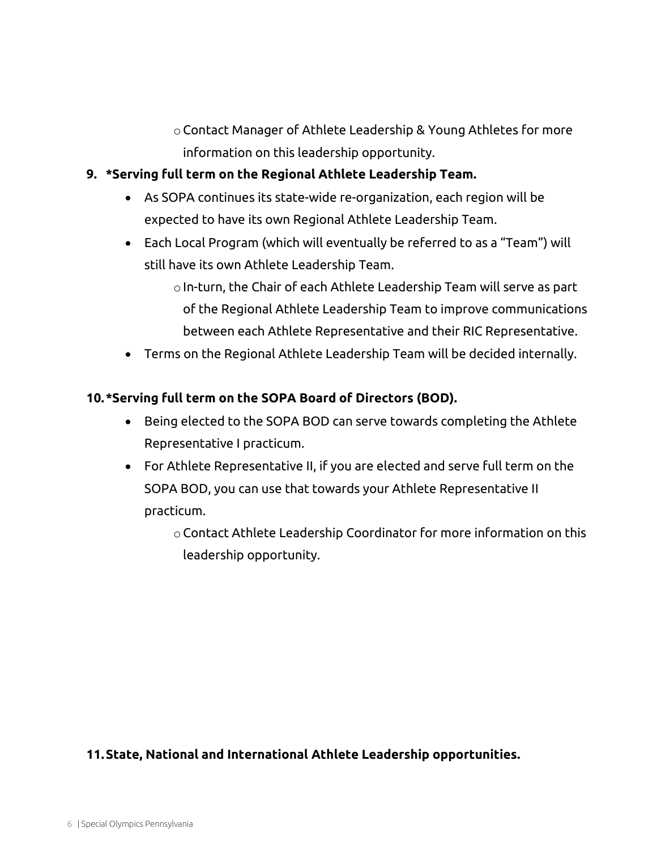oContact Manager of Athlete Leadership & Young Athletes for more information on this leadership opportunity.

### **9. \*Serving full term on the Regional Athlete Leadership Team.**

- As SOPA continues its state-wide re-organization, each region will be expected to have its own Regional Athlete Leadership Team.
- Each Local Program (which will eventually be referred to as a "Team") will still have its own Athlete Leadership Team.
	- oIn-turn, the Chair of each Athlete Leadership Team will serve as part of the Regional Athlete Leadership Team to improve communications between each Athlete Representative and their RIC Representative.
- Terms on the Regional Athlete Leadership Team will be decided internally.

### **10.\*Serving full term on the SOPA Board of Directors (BOD).**

- Being elected to the SOPA BOD can serve towards completing the Athlete Representative I practicum.
- For Athlete Representative II, if you are elected and serve full term on the SOPA BOD, you can use that towards your Athlete Representative II practicum.
	- oContact Athlete Leadership Coordinator for more information on this leadership opportunity.

### **11.State, National and International Athlete Leadership opportunities.**